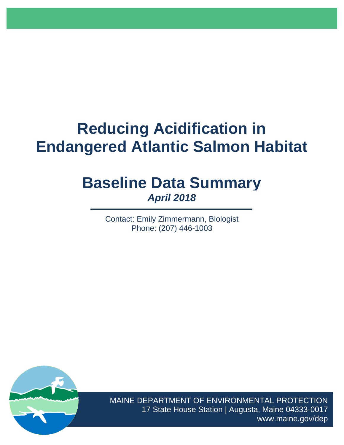# **Reducing Acidification in Endangered Atlantic Salmon Habitat**

# **Baseline Data Summary** *April 2018*

Contact: Emily Zimmermann, Biologist Phone: (207) 446-1003



MAINE DEPARTMENT OF ENVIRONMENTAL PROTECTION 17 State House Station | Augusta, Maine 04333-0017 www.maine.gov/dep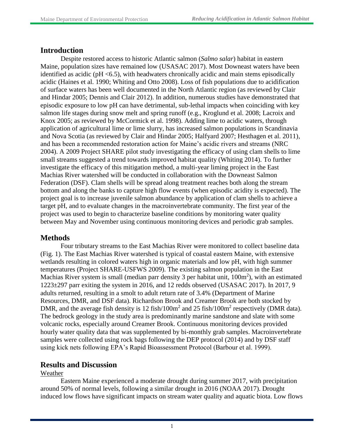# **Introduction**

Despite restored access to historic Atlantic salmon (*Salmo salar*) habitat in eastern Maine, population sizes have remained low (USASAC 2017). Most Downeast waters have been identified as acidic ( $pH < 6.5$ ), with headwaters chronically acidic and main stems episodically acidic (Haines et al. 1990; Whiting and Otto 2008). Loss of fish populations due to acidification of surface waters has been well documented in the North Atlantic region (as reviewed by Clair and Hindar 2005; Dennis and Clair 2012). In addition, numerous studies have demonstrated that episodic exposure to low pH can have detrimental, sub-lethal impacts when coinciding with key salmon life stages during snow melt and spring runoff (e.g., Kroglund et al. 2008; Lacroix and Knox 2005; as reviewed by McCormick et al. 1998). Adding lime to acidic waters, through application of agricultural lime or lime slurry, has increased salmon populations in Scandinavia and Nova Scotia (as reviewed by Clair and Hindar 2005; Halfyard 2007; Hesthagen et al. 2011), and has been a recommended restoration action for Maine's acidic rivers and streams (NRC 2004). A 2009 Project SHARE pilot study investigating the efficacy of using clam shells to lime small streams suggested a trend towards improved habitat quality (Whiting 2014). To further investigate the efficacy of this mitigation method, a multi-year liming project in the East Machias River watershed will be conducted in collaboration with the Downeast Salmon Federation (DSF). Clam shells will be spread along treatment reaches both along the stream bottom and along the banks to capture high flow events (when episodic acidity is expected). The project goal is to increase juvenile salmon abundance by application of clam shells to achieve a target pH, and to evaluate changes in the macroinvertebrate community. The first year of the project was used to begin to characterize baseline conditions by monitoring water quality between May and November using continuous monitoring devices and periodic grab samples.

# **Methods**

Four tributary streams to the East Machias River were monitored to collect baseline data (Fig. 1). The East Machias River watershed is typical of coastal eastern Maine, with extensive wetlands resulting in colored waters high in organic materials and low pH, with high summer temperatures (Project SHARE-USFWS 2009). The existing salmon population in the East Machias River system is small (median parr density 3 per habitat unit,  $100m^2$ ), with an estimated 1223±297 parr exiting the system in 2016, and 12 redds observed (USASAC 2017). In 2017, 9 adults returned, resulting in a smolt to adult return rate of 3.4% (Department of Marine Resources, DMR, and DSF data). Richardson Brook and Creamer Brook are both stocked by DMR, and the average fish density is 12 fish/100 $m<sup>2</sup>$  and 25 fish/100 $m<sup>2</sup>$  respectively (DMR data). The bedrock geology in the study area is predominantly marine sandstone and slate with some volcanic rocks, especially around Creamer Brook. Continuous monitoring devices provided hourly water quality data that was supplemented by bi-monthly grab samples. Macroinvertebrate samples were collected using rock bags following the DEP protocol (2014) and by DSF staff using kick nets following EPA's Rapid Bioassessment Protocol (Barbour et al. 1999).

# **Results and Discussion**

#### Weather

Eastern Maine experienced a moderate drought during summer 2017, with precipitation around 50% of normal levels, following a similar drought in 2016 (NOAA 2017). Drought induced low flows have significant impacts on stream water quality and aquatic biota. Low flows

1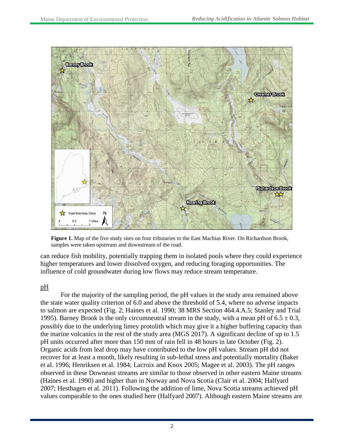

**Figure 1.** Map of the five study sites on four tributaries to the East Machias River. On Richardson Brook, samples were taken upstream and downstream of the road.

can reduce fish mobility, potentially trapping them in isolated pools where they could experience higher temperatures and lower dissolved oxygen, and reducing foraging opportunities. The influence of cold groundwater during low flows may reduce stream temperature.

#### pH

For the majority of the sampling period, the pH values in the study area remained above the state water quality criterion of 6.0 and above the threshold of 5.4, where no adverse impacts to salmon are expected (Fig. 2; Haines et al. 1990; 38 MRS Section 464.4.A.5; Stanley and Trial 1995). Barney Brook is the only circumneutral stream in the study, with a mean pH of  $6.5 \pm 0.3$ , possibly due to the underlying limey protolith which may give it a higher buffering capacity than the marine volcanics in the rest of the study area (MGS 2017). A significant decline of up to 1.5 pH units occurred after more than 150 mm of rain fell in 48 hours in late October (Fig. 2). Organic acids from leaf drop may have contributed to the low pH values. Stream pH did not recover for at least a month, likely resulting in sub-lethal stress and potentially mortality (Baker et al. 1996; Henriksen et al. 1984; Lacroix and Knox 2005; Magee et al. 2003). The pH ranges observed in these Downeast streams are similar to those observed in other eastern Maine streams (Haines et al. 1990) and higher than in Norway and Nova Scotia (Clair et al. 2004; Halfyard 2007; Hesthagen et al. 2011). Following the addition of lime, Nova Scotia streams achieved pH values comparable to the ones studied here (Halfyard 2007). Although eastern Maine streams are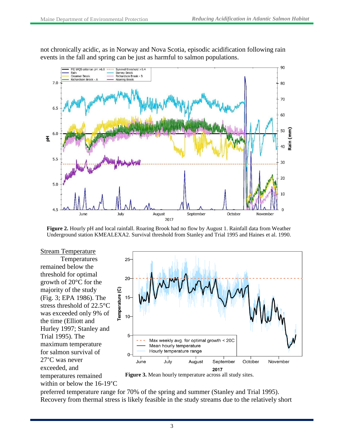not chronically acidic, as in Norway and Nova Scotia, episodic acidification following rain events in the fall and spring can be just as harmful to salmon populations.



**Figure 2.** Hourly pH and local rainfall. Roaring Brook had no flow by August 1. Rainfall data from Weather Underground station KMEALEXA2. Survival threshold from Stanley and Trial 1995 and Haines et al. 1990.

**Stream Temperature** Temperatures remained below the threshold for optimal growth of 20°C for the majority of the study (Fig. 3; EPA 1986). The stress threshold of 22.5°C was exceeded only 9% of the time (Elliott and Hurley 1997; Stanley and Trial 1995). The maximum temperature for salmon survival of 27°C was never exceeded, and temperatures remained within or below the 16-19°C



**Figure 3.** Mean hourly temperature across all study sites.

preferred temperature range for 70% of the spring and summer (Stanley and Trial 1995). Recovery from thermal stress is likely feasible in the study streams due to the relatively short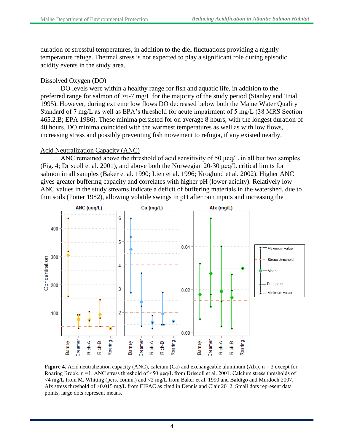duration of stressful temperatures, in addition to the diel fluctuations providing a nightly temperature refuge. Thermal stress is not expected to play a significant role during episodic acidity events in the study area.

#### Dissolved Oxygen (DO)

DO levels were within a healthy range for fish and aquatic life, in addition to the preferred range for salmon of >6-7 mg/L for the majority of the study period (Stanley and Trial 1995). However, during extreme low flows DO decreased below both the Maine Water Quality Standard of 7 mg/L as well as EPA's threshold for acute impairment of 5 mg/L (38 MRS Section 465.2.B; EPA 1986). These minima persisted for on average 8 hours, with the longest duration of 40 hours. DO minima coincided with the warmest temperatures as well as with low flows, increasing stress and possibly preventing fish movement to refugia, if any existed nearby.

#### Acid Neutralization Capacity (ANC)

ANC remained above the threshold of acid sensitivity of 50 μeq/L in all but two samples (Fig. 4; Driscoll et al. 2001), and above both the Norwegian 20-30 μeq/L critical limits for salmon in all samples (Baker et al. 1990; Lien et al. 1996; Kroglund et al. 2002). Higher ANC gives greater buffering capacity and correlates with higher pH (lower acidity). Relatively low ANC values in the study streams indicate a deficit of buffering materials in the watershed, due to thin soils (Potter 1982), allowing volatile swings in pH after rain inputs and increasing the



**Figure 4.** Acid neutralization capacity (ANC), calcium (Ca) and exchangeable aluminum (Alx).  $n = 3$  except for Roaring Brook, n =1. ANC stress threshold of <50 μeq/L from Driscoll et al. 2001. Calcium stress thresholds of <4 mg/L from M. Whiting (pers. comm.) and <2 mg/L from Baker et al. 1990 and Baldigo and Murdoch 2007. Alx stress threshold of >0.015 mg/L from EIFAC as cited in Dennis and Clair 2012. Small dots represent data points, large dots represent means.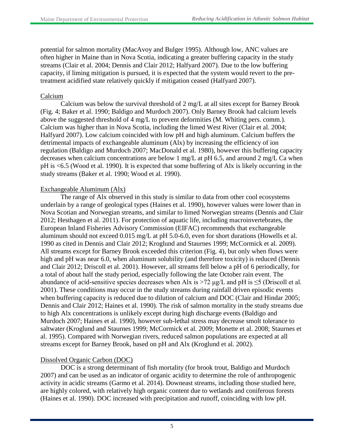potential for salmon mortality (MacAvoy and Bulger 1995). Although low, ANC values are often higher in Maine than in Nova Scotia, indicating a greater buffering capacity in the study streams (Clair et al. 2004; Dennis and Clair 2012; Halfyard 2007). Due to the low buffering capacity, if liming mitigation is pursued, it is expected that the system would revert to the pretreatment acidified state relatively quickly if mitigation ceased (Halfyard 2007).

#### Calcium

Calcium was below the survival threshold of 2 mg/L at all sites except for Barney Brook (Fig. 4; Baker et al. 1990; Baldigo and Murdoch 2007). Only Barney Brook had calcium levels above the suggested threshold of 4 mg/L to prevent deformities (M. Whiting pers. comm.). Calcium was higher than in Nova Scotia, including the limed West River (Clair et al. 2004; Halfyard 2007). Low calcium coincided with low pH and high aluminum. Calcium buffers the detrimental impacts of exchangeable aluminum (Alx) by increasing the efficiency of ion regulation (Baldigo and Murdoch 2007; MacDonald et al. 1980), however this buffering capacity decreases when calcium concentrations are below 1 mg/L at pH 6.5, and around 2 mg/L Ca when pH is <6.5 (Wood et al. 1990). It is expected that some buffering of Alx is likely occurring in the study streams (Baker et al. 1990; Wood et al. 1990).

#### Exchangeable Aluminum (Alx)

The range of Alx observed in this study is similar to data from other cool ecosystems underlain by a range of geological types (Haines et al. 1990), however values were lower than in Nova Scotian and Norwegian streams, and similar to limed Norwegian streams (Dennis and Clair 2012; Hesthagen et al. 2011). For protection of aquatic life, including macroinvertebrates, the European Inland Fisheries Advisory Commission (EIFAC) recommends that exchangeable aluminum should not exceed 0.015 mg/L at pH 5.0-6.0, even for short durations (Howells et al. 1990 as cited in Dennis and Clair 2012; Kroglund and Staurnes 1999; McCormick et al. 2009). All streams except for Barney Brook exceeded this criterion (Fig. 4), but only when flows were high and pH was near 6.0, when aluminum solubility (and therefore toxicity) is reduced (Dennis and Clair 2012; Driscoll et al. 2001). However, all streams fell below a pH of 6 periodically, for a total of about half the study period, especially following the late October rain event. The abundance of acid-sensitive species decreases when Alx is >72  $\mu$ g/L and pH is  $\leq$ 5 (Driscoll et al. 2001). These conditions may occur in the study streams during rainfall driven episodic events when buffering capacity is reduced due to dilution of calcium and DOC (Clair and Hindar 2005; Dennis and Clair 2012; Haines et al. 1990). The risk of salmon mortality in the study streams due to high Alx concentrations is unlikely except during high discharge events (Baldigo and Murdoch 2007; Haines et al. 1990), however sub-lethal stress may decrease smolt tolerance to saltwater (Kroglund and Staurnes 1999; McCormick et al. 2009; Monette et al. 2008; Staurnes et al. 1995). Compared with Norwegian rivers, reduced salmon populations are expected at all streams except for Barney Brook, based on pH and Alx (Kroglund et al. 2002).

#### Dissolved Organic Carbon (DOC)

DOC is a strong determinant of fish mortality (for brook trout, Baldigo and Murdoch 2007) and can be used as an indicator of organic acidity to determine the role of anthropogenic activity in acidic streams (Garmo et al. 2014). Downeast streams, including those studied here, are highly colored, with relatively high organic content due to wetlands and coniferous forests (Haines et al. 1990). DOC increased with precipitation and runoff, coinciding with low pH.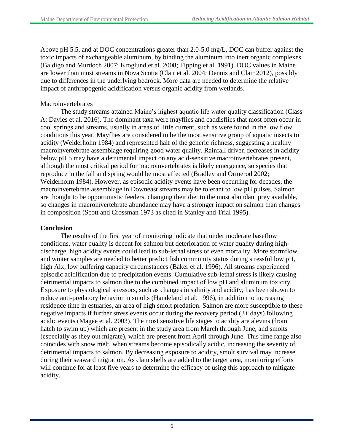Above pH 5.5, and at DOC concentrations greater than 2.0-5.0 mg/L, DOC can buffer against the toxic impacts of exchangeable aluminum, by binding the aluminum into inert organic complexes (Baldigo and Murdoch 2007; Kroglund et al. 2008; Tipping et al. 1991). DOC values in Maine are lower than most streams in Nova Scotia (Clair et al. 2004; Dennis and Clair 2012), possibly due to differences in the underlying bedrock. More data are needed to determine the relative impact of anthropogenic acidification versus organic acidity from wetlands.

#### **Macroinvertebrates**

The study streams attained Maine's highest aquatic life water quality classification (Class A; Davies et al. 2016). The dominant taxa were mayflies and caddisflies that most often occur in cool springs and streams, usually in areas of little current, such as were found in the low flow conditions this year. Mayflies are considered to be the most sensitive group of aquatic insects to acidity (Weiderholm 1984) and represented half of the generic richness, suggesting a healthy macroinvertebrate assemblage requiring good water quality. Rainfall driven decreases in acidity below pH 5 may have a detrimental impact on any acid-sensitive macroinvertebrates present, although the most critical period for macroinvertebrates is likely emergence, so species that reproduce in the fall and spring would be most affected (Bradley and Ormerod 2002; Weiderholm 1984). However, as episodic acidity events have been occurring for decades, the macroinvertebrate assemblage in Downeast streams may be tolerant to low pH pulses. Salmon are thought to be opportunistic feeders, changing their diet to the most abundant prey available, so changes in macroinvertebrate abundance may have a stronger impact on salmon than changes in composition (Scott and Crossman 1973 as cited in Stanley and Trial 1995).

#### **Conclusion**

The results of the first year of monitoring indicate that under moderate baseflow conditions, water quality is decent for salmon but deterioration of water quality during highdischarge, high acidity events could lead to sub-lethal stress or even mortality. More stormflow and winter samples are needed to better predict fish community status during stressful low pH, high Alx, low buffering capacity circumstances (Baker et al. 1996). All streams experienced episodic acidification due to precipitation events. Cumulative sub-lethal stress is likely causing detrimental impacts to salmon due to the combined impact of low pH and aluminum toxicity. Exposure to physiological stressors, such as changes in salinity and acidity, has been shown to reduce anti-predatory behavior in smolts (Handeland et al. 1996), in addition to increasing residence time in estuaries, an area of high smolt predation. Salmon are more susceptible to these negative impacts if further stress events occur during the recovery period (3+ days) following acidic events (Magee et al. 2003). The most sensitive life stages to acidity are alevins (from hatch to swim up) which are present in the study area from March through June, and smolts (especially as they out migrate), which are present from April through June. This time range also coincides with snow melt, when streams become episodically acidic, increasing the severity of detrimental impacts to salmon. By decreasing exposure to acidity, smolt survival may increase during their seaward migration. As clam shells are added to the target area, monitoring efforts will continue for at least five years to determine the efficacy of using this approach to mitigate acidity.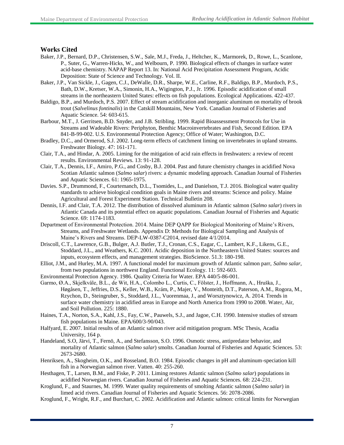### **Works Cited**

- Baker, J.P., Bernard, D.P., Christensen, S.W., Sale, M.J., Freda, J., Heltcher, K., Marmorek, D., Rowe, L., Scanlone, P., Suter, G., Warren-Hicks, W., and Welbourn, P. 1990. Biological effects of changes in surface water acid-base chemistry. NAPAP Report 13. In: National Acid Precipitation Assessment Program, Acidic Deposition: State of Science and Technology. Vol. II.
- Baker, J.P., Van Sickle, J., Gagen, C.J., DeWalle, D.R., Sharpe, W.E., Carline, R.F., Baldigo, B.P., Murdoch, P.S., Bath, D.W., Kretser, W.A., Simonin, H.A., Wigington, P.J., Jr. 1996. Episodic acidification of small streams in the northeastern United States: effects on fish populations. Ecological Applications. 422-437.
- Baldigo, B.P., and Murdoch, P.S. 2007. Effect of stream acidification and inorganic aluminum on mortality of brook trout (*Salvelinus fontinalis*) in the Catskill Mountains, New York. Canadian Journal of Fisheries and Aquatic Science. 54: 603-615.
- Barbour, M.T., J. Gerritsen, B.D. Snyder, and J.B. Stribling. 1999. Rapid Bioassessment Protocols for Use in Streams and Wadeable Rivers: Periphyton, Benthic Macroinvertebrates and Fish, Second Edition. EPA 841-B-99-002. U.S. Environmental Protection Agency; Office of Water; Washington, D.C.
- Bradley, D.C., and Ormerod, S.J. 2002. Long-term effects of catchment liming on invertebrates in upland streams. Freshwater Biology. 47: 161-171.
- Clair, T.A., and Hindar, A. 2005. Liming for the mitigation of acid rain effects in freshwaters: a review of recent results. Environmental Reviews. 13: 91-128.
- Clair, T.A., Dennis, I.F., Amiro, P.G., and Cosby, B.J. 2004. Past and future chemistry changes in acidified Nova Scotian Atlantic salmon (*Salmo salar*) rivers: a dynamic modeling approach. Canadian Journal of Fisheries and Aquatic Sciences. 61: 1965-1975.
- Davies. S.P., Drummond, F., Courtemanch, D.L., Tsomides, L., and Danielson, T.J. 2016. Biological water quality standards to achieve biological condition goals in Maine rivers and streams: Science and policy. Maine Agricultural and Forest Experiment Station. Technical Bulletin 208.
- Dennis, I.F. and Clair, T.A. 2012. The distribution of dissolved aluminum in Atlantic salmon (*Salmo salar*) rivers in Atlantic Canada and its potential effect on aquatic populations. Canadian Journal of Fisheries and Aquatic Science. 69: 1174-1183.
- Department of Environmental Protection. 2014. Maine DEP QAPP for Biological Monitoring of Maine's Rivers, Streams, and Freshwater Wetlands. Appendix D: Methods for Biological Sampling and Analysis of Maine's Rivers and Streams. DEP-LW-0387-C2014, revised date 4/1/2014.
- Driscoll, C.T., Lawrence, G.B., Bulger, A.J. Butler, T.J., Cronan, C.S., Eagar, C., Lambert, K.F., Likens, G.E., Stoddard, J.L., and Weathers, K.C. 2001. Acidic deposition in the Northeastern United States: sources and inputs, ecosystem effects, and management strategies. BioScience. 51.3: 180-198.
- Elliot, J.M., and Hurley, M.A. 1997. A functional model for maximum growth of Atlantic salmon parr, *Salmo salar*, from two populations in northwest England. Functional Ecology. 11: 592-603.
- Environmental Protection Agency. 1986. Quality Criteria for Water. EPA 440/5-86-001.
- Garmo, Ø.A., Skjelkvåle, B.L., de Wit, H.A., Colombo L., Curtis, C., Fölster, J., Hoffmann, A., Hruška, J., Høgåsen, T., Jeffries, D.S., Keller, W.B., Krám, P., Majer, V., Monteith, D.T., Paterson, A.M., Rogora, M., Rzychon, D., Steingruber, S., Stoddard, J.L., Vuorenmaa, J., and Worsztynowicz, A. 2014. Trends in surface water chemistry in acidified areas in Europe and North America from 1990 to 2008. Water, Air, and Soil Pollution. 225: 1880.
- Haines, T.A., Norton, S.A., Kahl, J.S., Fay, C.W., Pauwels, S.J., and Jagoe, C.H. 1990. Intensive studies of stream fish populations in Maine. EPA/600/3-90/043.
- Halfyard, E. 2007. Initial results of an Atlantic salmon river acid mitigation program. MSc Thesis, Acadia University, 164 p.
- Handeland, S.O, Järvi, T., Fernö, A., and Stefansson, S.O. 1996. Osmotic stress, antipredator behavior, and mortality of Atlantic salmon (*Salmo salar*) smolts. Canadian Journal of Fisheries and Aquatic Sciences. 53: 2673-2680.
- Henriksen, A., Skogheim, O.K., and Rosseland, B.O. 1984. Episodic changes in pH and aluminum-speciation kill fish in a Norwegian salmon river. Vatten. 40: 255-260.
- Hesthagen, T., Larsen, B.M., and Fiske, P. 2011. Liming restores Atlantic salmon (*Salmo salar*) populations in acidified Norwegian rivers. Canadian Journal of Fisheries and Aquatic Sciences. 68: 224-231.
- Kroglund, F., and Staurnes, M. 1999. Water quality requirements of smolting Atlantic salmon (*Salmo salar*) in limed acid rivers. Canadian Journal of Fisheries and Aquatic Sciences. 56: 2078-2086.
- Kroglund, F., Wright, R.F., and Burchart, C. 2002. Acidification and Atlantic salmon: critical limits for Norwegian